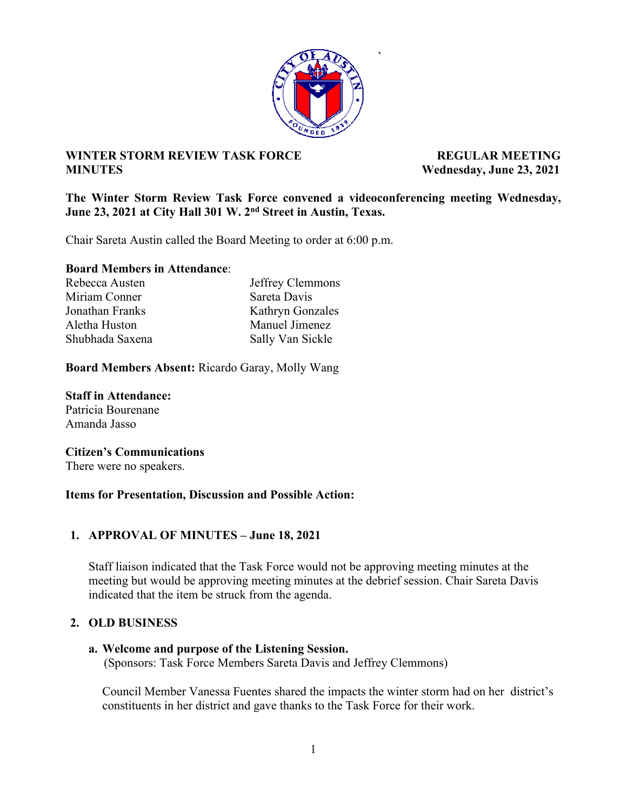

**`** 

# **WINTER STORM REVIEW TASK FORCE ALL PROPERTY REGULAR MEETING MINUTES Wednesday, June 23, 2021**

**The Winter Storm Review Task Force convened a videoconferencing meeting Wednesday, June 23, 2021 at City Hall 301 W. 2nd Street in Austin, Texas.** 

Chair Sareta Austin called the Board Meeting to order at 6:00 p.m.

**Board Members in Attendance**:

| Rebecca Austen  | Jeffrey Clemmons |
|-----------------|------------------|
| Miriam Conner   | Sareta Davis     |
| Jonathan Franks | Kathryn Gonzales |
| Aletha Huston   | Manuel Jimenez   |
| Shubhada Saxena | Sally Van Sickle |

**Board Members Absent:** Ricardo Garay, Molly Wang

**Staff in Attendance:**  Patricia Bourenane Amanda Jasso

**Citizen's Communications**  There were no speakers.

#### **Items for Presentation, Discussion and Possible Action:**

# **1. APPROVAL OF MINUTES – June 18, 2021**

Staff liaison indicated that the Task Force would not be approving meeting minutes at the meeting but would be approving meeting minutes at the debrief session. Chair Sareta Davis indicated that the item be struck from the agenda.

# **2. OLD BUSINESS**

#### **a. Welcome and purpose of the Listening Session.**

(Sponsors: Task Force Members Sareta Davis and Jeffrey Clemmons)

Council Member Vanessa Fuentes shared the impacts the winter storm had on her district's constituents in her district and gave thanks to the Task Force for their work.